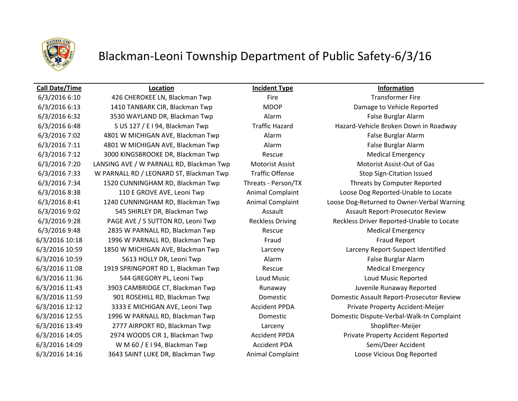

### Blackman-Leoni Township Department of Public Safety-6/3/16

### **Call Date/Time Location Incident Type Information**

6/3/2016 6:10 426 CHEROKEE LN, Blackman Twp Fire Transformer Fire 6/3/2016 6:13 1410 TANBARK CIR, Blackman Twp MDOP Damage to Vehicle Reported 6/3/2016 6:32 3530 WAYLAND DR, Blackman Twp Alarm False Burglar Alarm 6/3/2016 6:48 S US 127 / E I 94, Blackman Twp Traffic Hazard Hazard-Vehicle Broken Down in Roadway 6/3/2016 7:02 4801 W MICHIGAN AVE, Blackman Twp Alarm False Burglar Alarm 6/3/2016 7:11 4801 W MICHIGAN AVE, Blackman Twp Alarm False Burglar Alarm 6/3/2016 7:12 3000 KINGSBROOKE DR, Blackman Twp Rescue Medical Emergency 6/3/2016 7:20 LANSING AVE / W PARNALL RD, Blackman Twp Motorist Assist Motorist Assist-Out of Gas 6/3/2016 7:33 W PARNALL RD / LEONARD ST, Blackman Twp Traffic Offense Stop Sign-Citation Issued 6/3/2016 7:34 1520 CUNNINGHAM RD, Blackman Twp Threats - Person/TX Threats by Computer Reported 6/3/2016 8:38 110 E GROVE AVE, Leoni Twp Animal Complaint Loose Dog Reported-Unable to Locate 6/3/2016 9:02 545 SHIRLEY DR, Blackman Twp **Assault Assault Assault Assault Report-Prosecutor Review** 6/3/2016 9:48 2835 W PARNALL RD, Blackman Twp Rescue Medical Emergency 6/3/2016 10:18 1996 W PARNALL RD, Blackman Twp Fraud Fraud Fraud Fraud Report 6/3/2016 10:59 1850 W MICHIGAN AVE, Blackman Twp Larceny Larceny Report-Suspect Identified 6/3/2016 10:59 5613 HOLLY DR, Leoni Twp Alarm False Burglar Alarm 6/3/2016 11:08 1919 SPRINGPORT RD 1, Blackman Twp Rescue Rescue Medical Emergency 6/3/2016 11:36 544 GREGORY PL, Leoni Twp Loud Music Loud Music Reported 6/3/2016 11:43 3903 CAMBRIDGE CT, Blackman Twp Runaway Runaway Juvenile Runaway Reported 6/3/2016 12:12 3333 E MICHIGAN AVE, Leoni Twp Accident PPDA Private Property Accident-Meijer 6/3/2016 13:49 2777 AIRPORT RD, Blackman Twp Larceny Shoplifter-Meijer 6/3/2016 14:05 2974 WOODS CIR 1, Blackman Twp Accident PPDA Private Property Accident Reported 6/3/2016 14:09 WM 60 / E I 94, Blackman Twp Accident PDA Semi/Deer Accident 6/3/2016 14:16 3643 SAINT LUKE DR, Blackman Twp Animal Complaint Loose Vicious Dog Reported

6/3/2016 8:41 1240 CUNNINGHAM RD, Blackman Twp Animal Complaint Loose Dog-Returned to Owner-Verbal Warning 6/3/2016 9:28 PAGE AVE / S SUTTON RD, Leoni Twp Reckless Driving Reckless Driver Reported-Unable to Locate 6/3/2016 11:59 901 ROSEHILL RD, Blackman Twp Domestic Domestic Assault Report-Prosecutor Review 6/3/2016 12:55 1996 W PARNALL RD, Blackman Twp Domestic Domestic Dispute-Verbal-Walk-In Complaint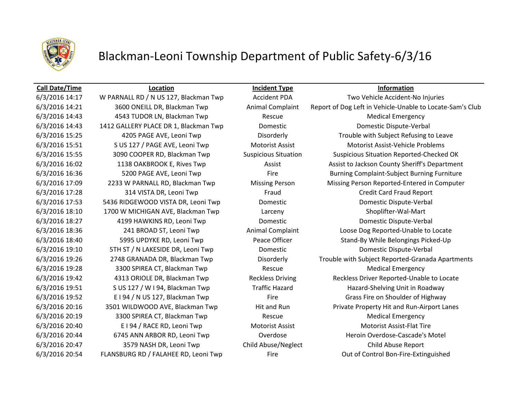

# Blackman-Leoni Township Department of Public Safety-6/3/16

6/3/2016 14:43 4543 TUDOR LN, Blackman Twp Rescue Medical Emergency 6/3/2016 18:10 1700 W MICHIGAN AVE, Blackman Twp Larceny Shoplifter-Wal-Mart 6/3/2016 19:28 3300 SPIREA CT, Blackman Twp Rescue Rescue Medical Emergency 6/3/2016 20:19 3300 SPIREA CT, Blackman Twp Rescue Medical Emergency 6/3/2016 20:47 3579 NASH DR, Leoni Twp Child Abuse/Neglect Child Abuse Report 6/3/2016 20:54 FLANSBURG RD / FALAHEE RD, Leoni Twp Fire Fire Control Bon-Fire-Extinguished

**Call Date/Time Location Incident Type Information**

6/3/2016 14:17 W PARNALL RD / N US 127, Blackman Twp Accident PDA Two Vehicle Accident-No Injuries 6/3/2016 14:21 3600 ONEILL DR, Blackman Twp Animal Complaint Report of Dog Left in Vehicle-Unable to Locate-Sam's Club 6/3/2016 14:43 1412 GALLERY PLACE DR 1, Blackman Twp Domestic Domestic Dispute-Verbal 6/3/2016 15:25 4205 PAGE AVE, Leoni Twp Disorderly Trouble with Subject Refusing to Leave 6/3/2016 15:51 S US 127 / PAGE AVE, Leoni Twp Motorist Assist Motorist Assist-Vehicle Problems 6/3/2016 15:55 3090 COOPER RD, Blackman Twp Suspicious Situation Suspicious Situation Reported-Checked OK 6/3/2016 16:02 1138 OAKBROOK E, Rives Twp Assist Assist Assist Lackson County Sheriff's Department 6/3/2016 16:36 5200 PAGE AVE, Leoni Twp Fire Fire Burning Complaint-Subject Burning Furniture 6/3/2016 17:09 2233 W PARNALL RD, Blackman Twp Missing Person Missing Person Reported-Entered in Computer 6/3/2016 17:28 314 VISTA DR, Leoni Twp Fraud Credit Card Fraud Report 6/3/2016 17:53 5436 RIDGEWOOD VISTA DR, Leoni Twp Domestic Domestic Dispute-Verbal 6/3/2016 18:27 4199 HAWKINS RD, Leoni Twp Domestic Domestic Dispute-Verbal 6/3/2016 18:36 241 BROAD ST, Leoni Twp Animal Complaint Loose Dog Reported-Unable to Locate 6/3/2016 18:40 5995 UPDYKE RD, Leoni Twp Peace Officer Stand-By While Belongings Picked-Up 6/3/2016 19:10 5TH ST / N LAKESIDE DR, Leoni Twp Domestic Domestic Dispute-Verbal 6/3/2016 19:26 2748 GRANADA DR, Blackman Twp Disorderly Trouble with Subject Reported-Granada Apartments 6/3/2016 19:42 4313 ORIOLE DR, Blackman Twp Reckless Driving Reckless Driver Reported-Unable to Locate 6/3/2016 19:51 S US 127 / W I 94, Blackman Twp Traffic Hazard Hazard-Shelving Unit in Roadway 6/3/2016 19:52 E I 94 / N US 127, Blackman Twp Fire Fire Grass Fire on Shoulder of Highway 6/3/2016 20:16 3501 WILDWOOD AVE, Blackman Twp Hit and Run Private Property Hit and Run-Airport Lanes 6/3/2016 20:40 E I 94 / RACE RD, Leoni Twp Motorist Assist Motorist Assist Motorist Assist-Flat Tire 6/3/2016 20:44 6745 ANN ARBOR RD, Leoni Twp Overdose Cascade's Motel